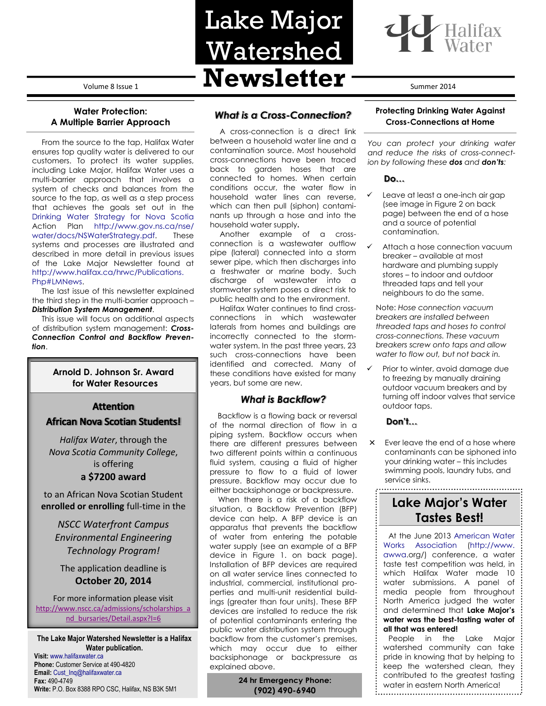Volume 8 Issue 1 **Newsletter** Summer 2014

# **Water Protection: A Multiple Barrier Approach**

From the source to the tap, Halifax Water ensures top quality water is delivered to our customers. To protect its water supplies, including Lake Major, Halifax Water uses a multi-barrier approach that involves a system of checks and balances from the source to the tap, as well as a step process that achieves the goals set out in the [Drinking Water Strategy for Nova Scotia](http://www.gov.ns.ca/nse/water/docs/NSWaterStrategy.pdf) Action Plan [http://www.gov.ns.ca/nse/](http://www.gov.ns.ca/nse/%20water/docs/NSWaterStrategy.pdf) [water/docs/NSWaterStrategy.pdf.](http://www.gov.ns.ca/nse/%20water/docs/NSWaterStrategy.pdf) These systems and processes are illustrated and described in more detail in previous issues of the Lake Major Newsletter found at [http://www.halifax.ca/hrwc/Publications.](http://www.halifax.ca/hrwc/Publications.%20Php#LMNews) [Php#LMNews.](http://www.halifax.ca/hrwc/Publications.%20Php#LMNews)

The last issue of this newsletter explained the third step in the multi-barrier approach – *Distribution System Management*.

This issue will focus on additional aspects of distribution system management: *Cross-Connection Control and Backflow Prevention*.

### **Arnold D. Johnson Sr. Award for Water Resources**

### **Attention**

# **African Nova Scotian Students!**

*Halifax Water*, through the *Nova Scotia Community College*, is offering **a \$7200 award**

to an African Nova Scotian Student **enrolled or enrolling** full-time in the

*NSCC Waterfront Campus Environmental Engineering Technology Program!*

The application deadline is **October 20, 2014**

For more information please visit [http://www.nscc.ca/admissions/scholarships\\_a](http://www.nscc.ca/admissions/scholarships_and_bursaries/Detail.aspx?I=6) [nd\\_bursaries/Detail.aspx?I=6](http://www.nscc.ca/admissions/scholarships_and_bursaries/Detail.aspx?I=6)

**The Lake Major Watershed Newsletter is a Halifax Water publication.** 

**Visit:** [www.halifaxwater.ca](http://www.halifaxwater.ca/) **Phone:** Customer Service at 490-4820 **Email:** [Cust\\_Inq@halifaxwater.ca](mailto:Cust_Inq@halifaxwater.ca) **Fax:** 490-4749 **Write:** P.O. Box 8388 RPO CSC, Halifax, NS B3K 5M1

# *What is a Cross-Connection?*

Lake Major

Watershed

A cross-connection is a direct link between a household water line and a contamination source. Most household cross-connections have been traced back to garden hoses that are connected to homes. When certain conditions occur, the water flow in household water lines can reverse, which can then pull (siphon) contaminants up through a hose and into the household water supply**.** 

Another example of a crossconnection is a wastewater outflow pipe (lateral) connected into a storm sewer pipe, which then discharges into a freshwater or marine body. Such discharge of wastewater into a stormwater system poses a direct risk to public health and to the environment.

Halifax Water continues to find crossconnections in which wastewater laterals from homes and buildings are incorrectly connected to the stormwater system. In the past three years, 23 such cross-connections have been identified and corrected. Many of these conditions have existed for many years, but some are new.

## *What is Backflow?*

Backflow is a flowing back or reversal of the normal direction of flow in a piping system. Backflow occurs when there are different pressures between two different points within a continuous fluid system, causing a fluid of higher pressure to flow to a fluid of lower pressure. Backflow may occur due to either backsiphonage or backpressure.

When there is a risk of a backflow situation, a Backflow Prevention (BFP) device can help. A BFP device is an apparatus that prevents the backflow of water from entering the potable water supply (see an example of a BFP device in Figure 1. on back page). Installation of BFP devices are required on all water service lines connected to industrial, commercial, institutional properties and multi-unit residential buildings (greater than four units). These BFP devices are installed to reduce the risk of potential contaminants entering the public water distribution system through backflow from the customer's premises, which may occur due to either backsiphonage or backpressure as explained above.

> **24 hr Emergency Phone: (902) 490-6940**

### **Protecting Drinking Water Against Cross-Connections at Home**

*You can protect your drinking water and reduce the risks of cross-connection by following these dos and don'ts:* 

#### **Do…**

- Leave at least a one-inc[h air gap](http://www.halifax.ca/hrwc/MethodsandTypesofBackflowPrevention.php) (see image in Figure 2 on back page) between the end of a hose and a source of potential contamination.
- Attach a hose connection vacuum breaker – available at most hardware and plumbing supply stores – to indoor and outdoor threaded taps and tell your neighbours to do the same.

Note: *Hose connection vacuum breakers are installed between threaded taps and hoses to control cross-connections. These vacuum breakers screw onto taps and allow water to flow out, but not back in.*

 Prior to winter, avoid damage due to freezing by manually draining outdoor vacuum breakers and by turning off indoor valves that service outdoor taps.

### **Don't…**

× Ever leave the end of a hose where contaminants can be siphoned into your drinking water – this includes swimming pools, laundry tubs, and service sinks.

# **Lake Major's Water Tastes Best!**

At the June 2013 [American Water](http://www.awwa.org/)  [Works Association](http://www.awwa.org/) (http://www. awwa.org/) conference, a water taste test competition was held, in which Halifax Water made 10 water submissions. A panel of media people from throughout North America judged the water and determined that **Lake Major's water was the best-tasting water of all that was entered!**

People in the Lake Major watershed community can take pride in knowing that by helping to keep the watershed clean, they contributed to the greatest tasting water in eastern North America!